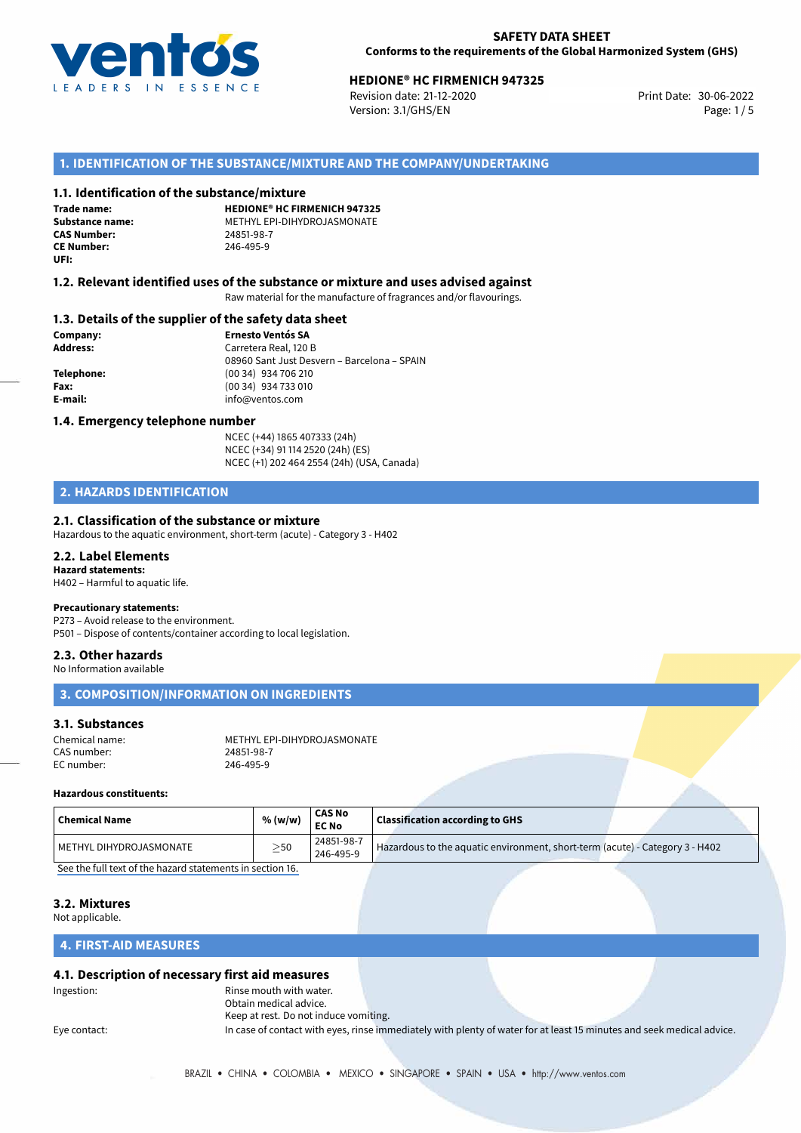

# **HEDIONE® HC FIRMENICH 947325**<br>30-06-2022 **Revision date: 21-12-2020**

Revision date: 21-12-2020 Version: 3.1/GHS/EN Page: 1 / 5

## **1. IDENTIFICATION OF THE SUBSTANCE/MIXTURE AND THE COMPANY/UNDERTAKING**

### **1.1. Identification of the substance/mixture**

**Trade name: CAS Number: CE Number:** 246-495-9 **UFI:**

**HEDIONE® HC FIRMENICH 947325 Substance name:** METHYL EPI-DIHYDROJASMONATE<br> **CAS Number:** 24851-98-7

### **1.2. Relevant identified uses of the substance or mixture and uses advised against**

Raw material for the manufacture of fragrances and/or flavourings.

### **1.3. Details of the supplier of the safety data sheet**

**Company: Ernesto Ventós SA Address:** Carretera Real, 120 B 08960 Sant Just Desvern – Barcelona – SPAIN **Telephone:** (00 34) 934 706 210 **Fax:** (00 34) 934 733 010 **E-mail:** info@ventos.com

### **1.4. Emergency telephone number**

NCEC (+44) 1865 407333 (24h) NCEC (+34) 91 114 2520 (24h) (ES) NCEC (+1) 202 464 2554 (24h) (USA, Canada)

# **2. HAZARDS IDENTIFICATION**

### **2.1. Classification of the substance or mixture**

Hazardous to the aquatic environment, short-term (acute) - Category 3 - H402

### **2.2. Label Elements**

**Hazard statements:** H402 – Harmful to aquatic life.

### **Precautionary statements:**

P273 – Avoid release to the environment. P501 – Dispose of contents/container according to local legislation.

### **2.3. Other hazards**

No Information available

# **3. COMPOSITION/INFORMATION ON INGREDIENTS**

### **3.1. Substances**

| Chemical name: | METHYL EPI-DIHYDROJASMONATE |
|----------------|-----------------------------|
| CAS number:    | 24851-98-7                  |
| EC number:     | 246-495-9                   |

## **Hazardous constituents:**

| 24851-98-7 | <b>Chemical Name</b>    | % (w/w)   | <b>CAS No</b><br><b>EC No</b> | $\,$ Classification according to GHS $\,$                                    |  |
|------------|-------------------------|-----------|-------------------------------|------------------------------------------------------------------------------|--|
|            | METHYL DIHYDROJASMONATE | $\geq$ 50 | 246-495-9                     | Hazardous to the aquatic environment, short-term (acute) - Category 3 - H402 |  |

[See the full text of the hazard statements in section 16.](#page--1-0)

### **3.2. Mixtures**

Not applicable.

### **4. FIRST-AID MEASURES**

### **4.1. Description of necessary first aid measures**

Ingestion: Rinse mouth with water. Obtain medical advice. Keep at rest. Do not induce vomiting.

Eye contact: In case of contact with eyes, rinse immediately with plenty of water for at least 15 minutes and seek medical advice.

BRAZIL • CHINA • COLOMBIA • MEXICO • SINGAPORE • SPAIN • USA • http://www.ventos.com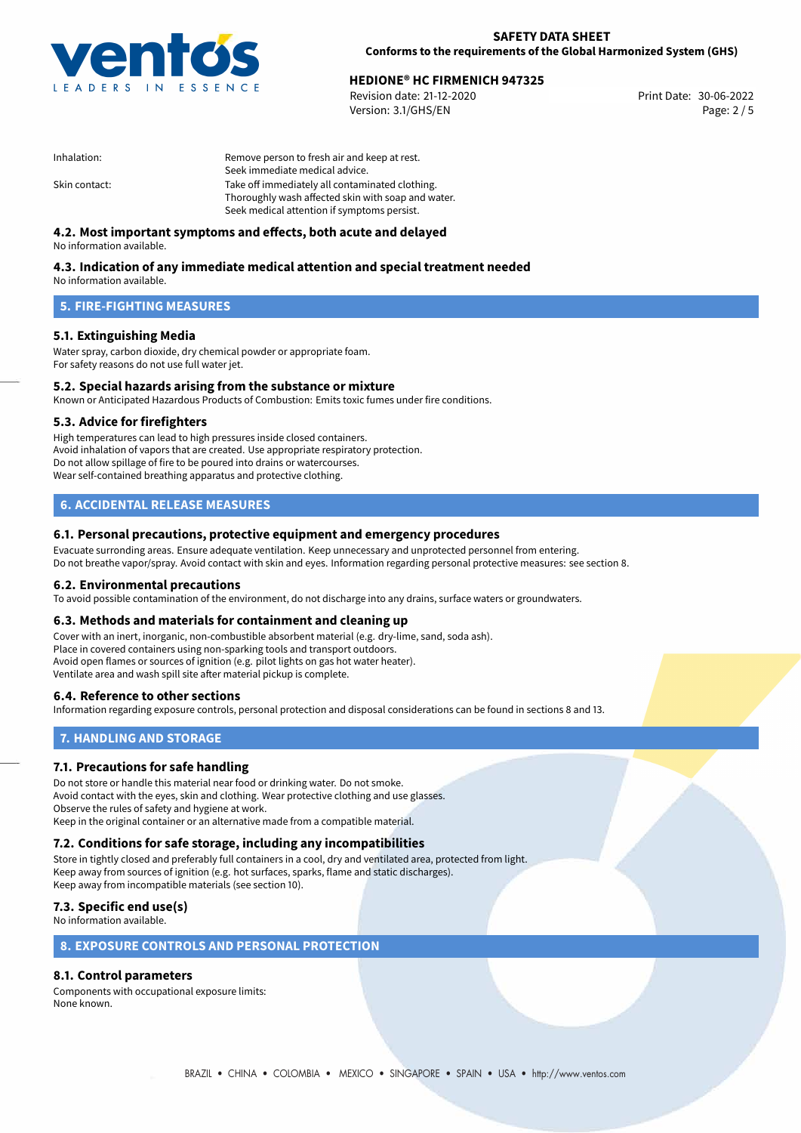

# **HEDIONE® HC FIRMENICH 947325**<br>30-06-2022 **Revision date: 21-12-2020**

Revision date: 21-12-2020 Version: 3.1/GHS/EN Page: 2 / 5

| Remove person to fresh air and keep at rest.       |  |  |
|----------------------------------------------------|--|--|
| Seek immediate medical advice.                     |  |  |
| Take off immediately all contaminated clothing.    |  |  |
| Thoroughly wash affected skin with soap and water. |  |  |
| Seek medical attention if symptoms persist.        |  |  |
|                                                    |  |  |

# **4.2. Most important symptoms and effects, both acute and delayed**

No information available.

# **4.3. Indication of any immediate medical attention and special treatment needed**

No information available.

## **5. FIRE-FIGHTING MEASURES**

### **5.1. Extinguishing Media**

Water spray, carbon dioxide, dry chemical powder or appropriate foam. For safety reasons do not use full water jet.

### **5.2. Special hazards arising from the substance or mixture**

Known or Anticipated Hazardous Products of Combustion: Emits toxic fumes under fire conditions.

### **5.3. Advice for firefighters**

High temperatures can lead to high pressures inside closed containers. Avoid inhalation of vapors that are created. Use appropriate respiratory protection. Do not allow spillage of fire to be poured into drains or watercourses. Wear self-contained breathing apparatus and protective clothing.

### **6. ACCIDENTAL RELEASE MEASURES**

### **6.1. Personal precautions, protective equipment and emergency procedures**

Evacuate surronding areas. Ensure adequate ventilation. Keep unnecessary and unprotected personnel from entering. Do not breathe vapor/spray. Avoid contact with skin and eyes. Information regarding personal protective measures: see section 8.

### **6.2. Environmental precautions**

To avoid possible contamination of the environment, do not discharge into any drains, surface waters or groundwaters.

### **6.3. Methods and materials for containment and cleaning up**

Cover with an inert, inorganic, non-combustible absorbent material (e.g. dry-lime, sand, soda ash). Place in covered containers using non-sparking tools and transport outdoors. Avoid open flames or sources of ignition (e.g. pilot lights on gas hot water heater). Ventilate area and wash spill site after material pickup is complete.

### **6.4. Reference to other sections**

Information regarding exposure controls, personal protection and disposal considerations can be found in sections 8 and 13.

# **7. HANDLING AND STORAGE**

### **7.1. Precautions for safe handling**

Do not store or handle this material near food or drinking water. Do not smoke. Avoid contact with the eyes, skin and clothing. Wear protective clothing and use glasses. Observe the rules of safety and hygiene at work. Keep in the original container or an alternative made from a compatible material.

# **7.2. Conditions for safe storage, including any incompatibilities**

Store in tightly closed and preferably full containers in a cool, dry and ventilated area, protected from light. Keep away from sources of ignition (e.g. hot surfaces, sparks, flame and static discharges). Keep away from incompatible materials (see section 10).

## **7.3. Specific end use(s)**

No information available.

### **8. EXPOSURE CONTROLS AND PERSONAL PROTECTION**

# **8.1. Control parameters**

Components with occupational exposure limits: None known.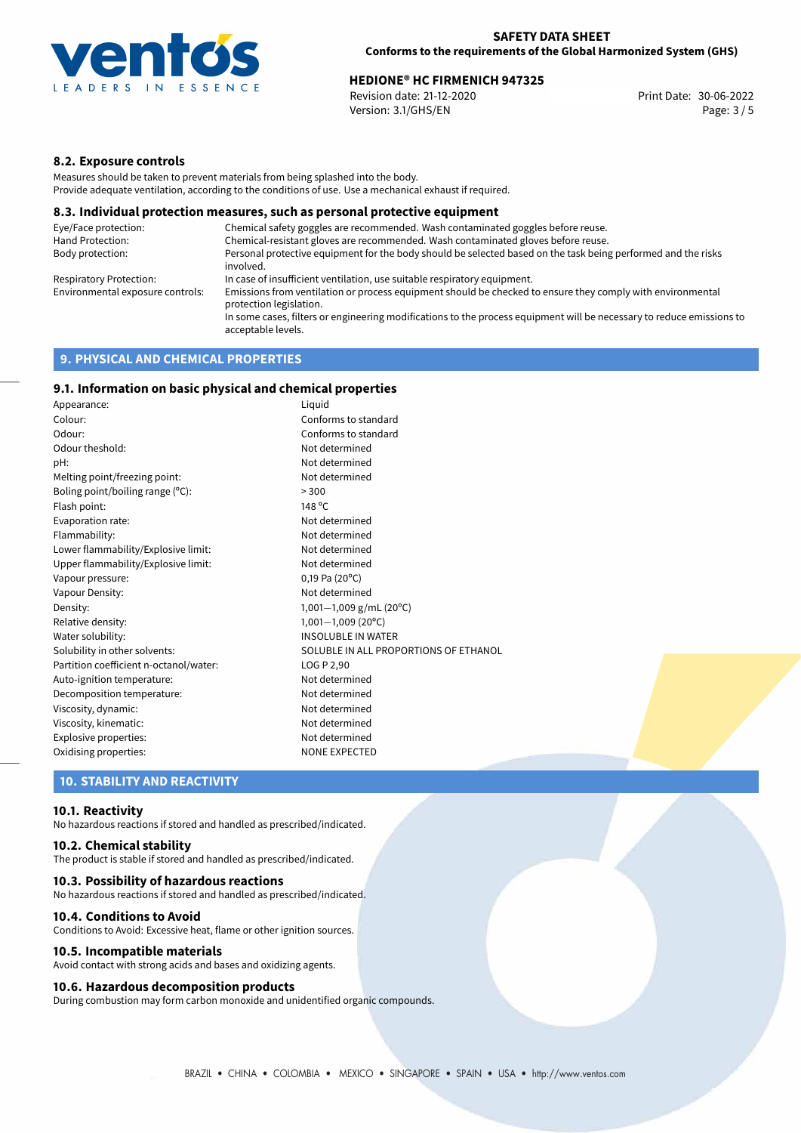

# **HEDIONE® HC FIRMENICH 947325**<br>Revision date: 21-12-2020 **Bigger Print Date: 30-06-2022**

Revision date: 21-12-2020 Version: 3.1/GHS/EN Page: 3 / 5

### **8.2. Exposure controls**

Measures should be taken to prevent materials from being splashed into the body. Provide adequate ventilation, according to the conditions of use. Use a mechanical exhaust if required.

### **8.3. Individual protection measures, such as personal protective equipment**

| Eye/Face protection:             | Chemical safety goggles are recommended. Wash contaminated goggles before reuse.                                                            |
|----------------------------------|---------------------------------------------------------------------------------------------------------------------------------------------|
| Hand Protection:                 | Chemical-resistant gloves are recommended. Wash contaminated gloves before reuse.                                                           |
| Body protection:                 | Personal protective equipment for the body should be selected based on the task being performed and the risks<br>involved.                  |
| Respiratory Protection:          | In case of insufficient ventilation, use suitable respiratory equipment.                                                                    |
| Environmental exposure controls: | Emissions from ventilation or process equipment should be checked to ensure they comply with environmental<br>protection legislation.       |
|                                  | In some cases, filters or engineering modifications to the process equipment will be necessary to reduce emissions to<br>acceptable levels. |
|                                  |                                                                                                                                             |

# **9. PHYSICAL AND CHEMICAL PROPERTIES**

# **9.1. Information on basic physical and chemical properties**

| Appearance:                            | Liguid                                |
|----------------------------------------|---------------------------------------|
| Colour:                                | Conforms to standard                  |
| Odour:                                 | Conforms to standard                  |
| Odour theshold:                        | Not determined                        |
| pH:                                    | Not determined                        |
| Melting point/freezing point:          | Not determined                        |
| Boling point/boiling range (°C):       | > 300                                 |
| Flash point:                           | 148 °C                                |
| Evaporation rate:                      | Not determined                        |
| Flammability:                          | Not determined                        |
| Lower flammability/Explosive limit:    | Not determined                        |
| Upper flammability/Explosive limit:    | Not determined                        |
| Vapour pressure:                       | $0,19$ Pa (20 $^{\circ}$ C)           |
| Vapour Density:                        | Not determined                        |
| Density:                               | 1,001-1,009 g/mL (20°C)               |
| Relative density:                      | $1,001-1,009$ (20°C)                  |
| Water solubility:                      | <b>INSOLUBLE IN WATER</b>             |
| Solubility in other solvents:          | SOLUBLE IN ALL PROPORTIONS OF ETHANOL |
| Partition coefficient n-octanol/water: | LOG P 2,90                            |
| Auto-ignition temperature:             | Not determined                        |
| Decomposition temperature:             | Not determined                        |
| Viscosity, dynamic:                    | Not determined                        |
| Viscosity, kinematic:                  | Not determined                        |
| Explosive properties:                  | Not determined                        |
| Oxidising properties:                  | <b>NONE EXPECTED</b>                  |

### **10. STABILITY AND REACTIVITY**

### **10.1. Reactivity**

No hazardous reactions if stored and handled as prescribed/indicated.

## **10.2. Chemical stability**

The product is stable if stored and handled as prescribed/indicated.

### **10.3. Possibility of hazardous reactions**

No hazardous reactions if stored and handled as prescribed/indicated.

### **10.4. Conditions to Avoid**

Conditions to Avoid: Excessive heat, flame or other ignition sources.

### **10.5. Incompatible materials**

Avoid contact with strong acids and bases and oxidizing agents.

### **10.6. Hazardous decomposition products**

During combustion may form carbon monoxide and unidentified organic compounds.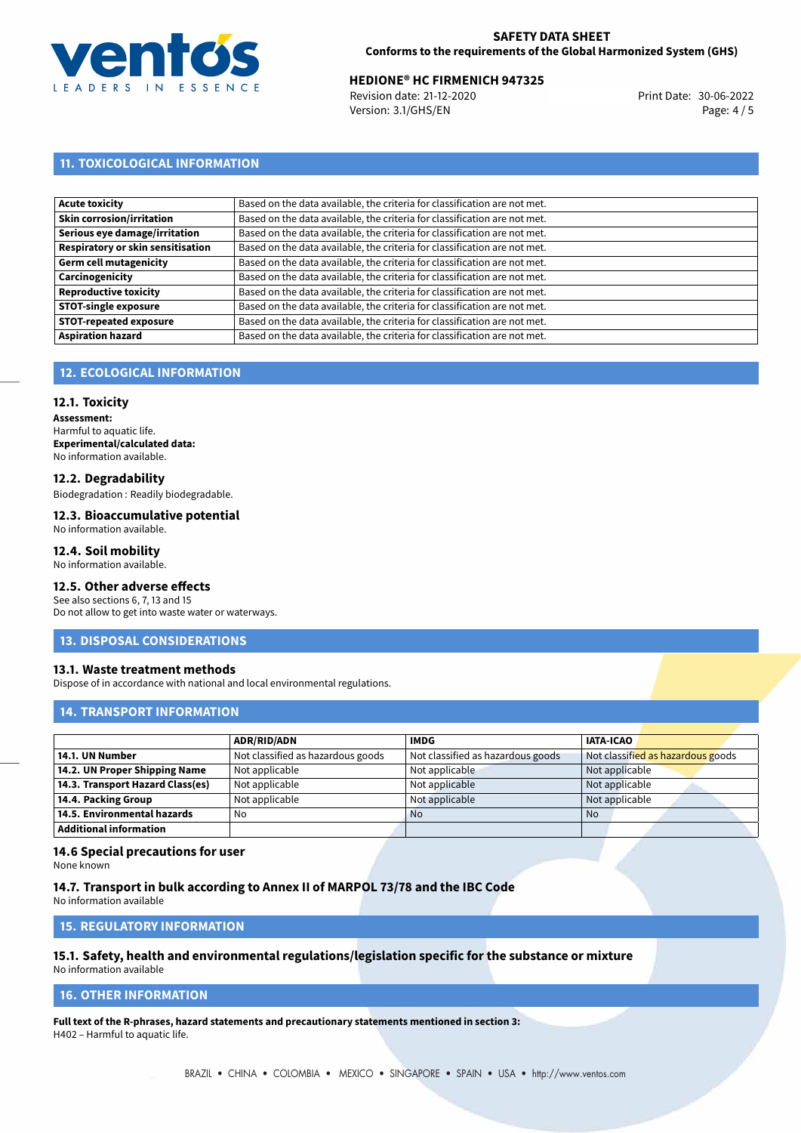

# **HEDIONE® HC FIRMENICH 947325**<br>30-06-2022 **Revision date: 21-12-2020**

Revision date: 21-12-2020 Version: 3.1/GHS/EN Page: 4 / 5

# **11. TOXICOLOGICAL INFORMATION**

| Based on the data available, the criteria for classification are not met. |
|---------------------------------------------------------------------------|
| Based on the data available, the criteria for classification are not met. |
| Based on the data available, the criteria for classification are not met. |
| Based on the data available, the criteria for classification are not met. |
| Based on the data available, the criteria for classification are not met. |
| Based on the data available, the criteria for classification are not met. |
| Based on the data available, the criteria for classification are not met. |
| Based on the data available, the criteria for classification are not met. |
| Based on the data available, the criteria for classification are not met. |
| Based on the data available, the criteria for classification are not met. |
|                                                                           |

# **12. ECOLOGICAL INFORMATION**

### **12.1. Toxicity**

**Assessment:** Harmful to aquatic life. **Experimental/calculated data:** No information available.

### **12.2. Degradability**

Biodegradation : Readily biodegradable.

#### **12.3. Bioaccumulative potential** No information available.

### **12.4. Soil mobility**

No information available.

## **12.5. Other adverse effects**

See also sections 6, 7, 13 and 15 Do not allow to get into waste water or waterways.

### **13. DISPOSAL CONSIDERATIONS**

### **13.1. Waste treatment methods**

Dispose of in accordance with national and local environmental regulations.

# **14. TRANSPORT INFORMATION**

|                                  | <b>ADR/RID/ADN</b>                | <b>IMDG</b>                       | <b>IATA-ICAO</b>                  |
|----------------------------------|-----------------------------------|-----------------------------------|-----------------------------------|
| 14.1. UN Number                  | Not classified as hazardous goods | Not classified as hazardous goods | Not classified as hazardous goods |
| 14.2. UN Proper Shipping Name    | Not applicable                    | Not applicable                    | Not applicable                    |
| 14.3. Transport Hazard Class(es) | Not applicable                    | Not applicable                    | Not applicable                    |
| 14.4. Packing Group              | Not applicable                    | Not applicable                    | Not applicable                    |
| 14.5. Environmental hazards      | No                                | <b>No</b>                         | No.                               |
| Additional information           |                                   |                                   |                                   |

# **14.6 Special precautions for user**

None known

### **14.7. Transport in bulk according to Annex II of MARPOL 73/78 and the IBC Code**

No information available

## **15. REGULATORY INFORMATION**

#### **15.1. Safety, health and environmental regulations/legislation specific for the substance or mixture** No information available

### **16. OTHER INFORMATION**

**Full text of the R-phrases, hazard statements and precautionary statements mentioned in section 3:** H402 – Harmful to aquatic life.